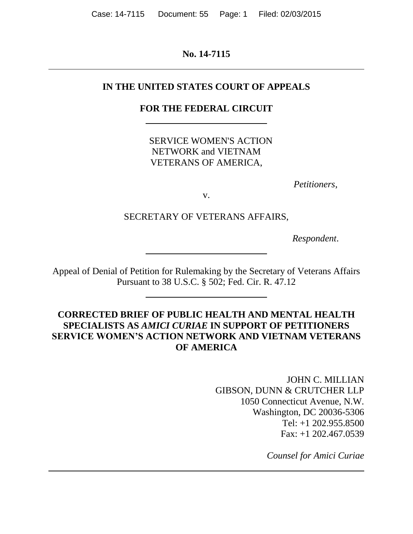**No. 14-7115**

## **IN THE UNITED STATES COURT OF APPEALS**

## **FOR THE FEDERAL CIRCUIT**

SERVICE WOMEN'S ACTION NETWORK and VIETNAM VETERANS OF AMERICA,

*Petitioners*,

v.

SECRETARY OF VETERANS AFFAIRS,

*Respondent*.

Appeal of Denial of Petition for Rulemaking by the Secretary of Veterans Affairs Pursuant to 38 U.S.C. § 502; Fed. Cir. R. 47.12

# **CORRECTED BRIEF OF PUBLIC HEALTH AND MENTAL HEALTH SPECIALISTS AS** *AMICI CURIAE* **IN SUPPORT OF PETITIONERS SERVICE WOMEN'S ACTION NETWORK AND VIETNAM VETERANS OF AMERICA**

JOHN C. MILLIAN GIBSON, DUNN & CRUTCHER LLP 1050 Connecticut Avenue, N.W. Washington, DC 20036-5306 Tel: +1 202.955.8500 Fax: +1 202.467.0539

*Counsel for Amici Curiae*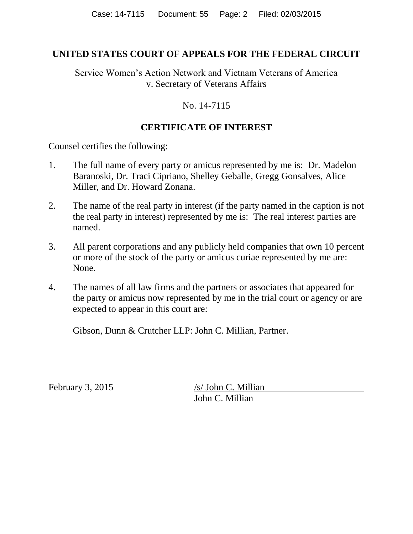### **UNITED STATES COURT OF APPEALS FOR THE FEDERAL CIRCUIT**

Service Women's Action Network and Vietnam Veterans of America v. Secretary of Veterans Affairs

### No. 14-7115

# **CERTIFICATE OF INTEREST**

Counsel certifies the following:

- 1. The full name of every party or amicus represented by me is: Dr. Madelon Baranoski, Dr. Traci Cipriano, Shelley Geballe, Gregg Gonsalves, Alice Miller, and Dr. Howard Zonana.
- 2. The name of the real party in interest (if the party named in the caption is not the real party in interest) represented by me is: The real interest parties are named.
- 3. All parent corporations and any publicly held companies that own 10 percent or more of the stock of the party or amicus curiae represented by me are: None.
- 4. The names of all law firms and the partners or associates that appeared for the party or amicus now represented by me in the trial court or agency or are expected to appear in this court are:

Gibson, Dunn & Crutcher LLP: John C. Millian, Partner.

February 3, 2015 /s/ John C. Millian John C. Millian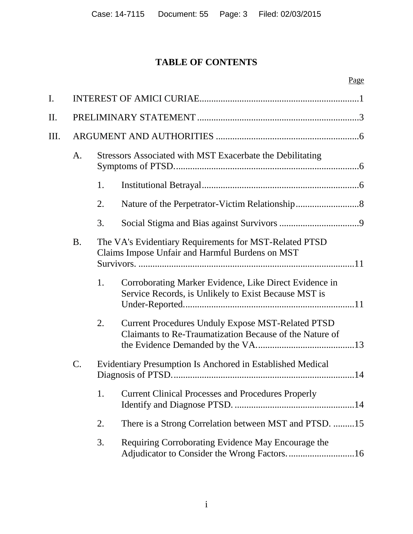# **TABLE OF CONTENTS**

Page

| I.  |                 |                                                                                                           |                                                                                                                     |  |  |
|-----|-----------------|-----------------------------------------------------------------------------------------------------------|---------------------------------------------------------------------------------------------------------------------|--|--|
| II. |                 |                                                                                                           |                                                                                                                     |  |  |
| Ш.  |                 |                                                                                                           |                                                                                                                     |  |  |
|     | A.              | Stressors Associated with MST Exacerbate the Debilitating                                                 |                                                                                                                     |  |  |
|     |                 | 1.                                                                                                        |                                                                                                                     |  |  |
|     |                 | 2.                                                                                                        |                                                                                                                     |  |  |
|     |                 | 3.                                                                                                        |                                                                                                                     |  |  |
|     | <b>B.</b>       | The VA's Evidentiary Requirements for MST-Related PTSD<br>Claims Impose Unfair and Harmful Burdens on MST |                                                                                                                     |  |  |
|     |                 | 1.                                                                                                        | Corroborating Marker Evidence, Like Direct Evidence in<br>Service Records, is Unlikely to Exist Because MST is      |  |  |
|     |                 | 2.                                                                                                        | <b>Current Procedures Unduly Expose MST-Related PTSD</b><br>Claimants to Re-Traumatization Because of the Nature of |  |  |
|     | $\mathcal{C}$ . | Evidentiary Presumption Is Anchored in Established Medical                                                |                                                                                                                     |  |  |
|     |                 | 1.                                                                                                        | <b>Current Clinical Processes and Procedures Properly</b>                                                           |  |  |
|     |                 | 2.                                                                                                        | There is a Strong Correlation between MST and PTSD. 15                                                              |  |  |
|     |                 | 3.                                                                                                        | Requiring Corroborating Evidence May Encourage the                                                                  |  |  |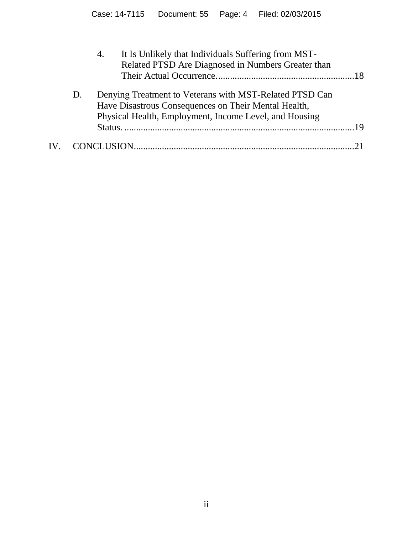| Denying Treatment to Veterans with MST-Related PTSD Can<br>D.<br>Have Disastrous Consequences on Their Mental Health,<br>Physical Health, Employment, Income Level, and Housing | 19 |
|---------------------------------------------------------------------------------------------------------------------------------------------------------------------------------|----|
| $\mathbf{IV}_{-}$                                                                                                                                                               |    |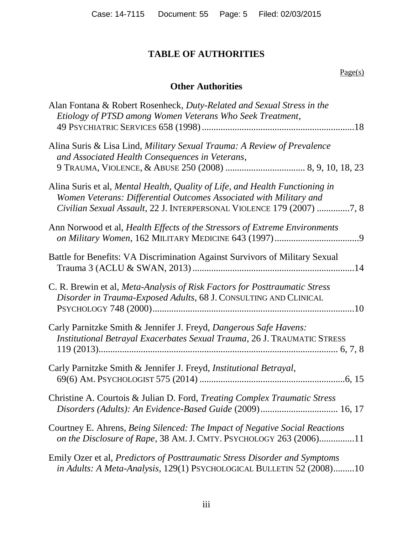# **TABLE OF AUTHORITIES**

### Page(s)

# **Other Authorities**

| Alan Fontana & Robert Rosenheck, Duty-Related and Sexual Stress in the<br>Etiology of PTSD among Women Veterans Who Seek Treatment,                                                                                         |
|-----------------------------------------------------------------------------------------------------------------------------------------------------------------------------------------------------------------------------|
| Alina Suris & Lisa Lind, Military Sexual Trauma: A Review of Prevalence<br>and Associated Health Consequences in Veterans,                                                                                                  |
| Alina Suris et al, Mental Health, Quality of Life, and Health Functioning in<br>Women Veterans: Differential Outcomes Associated with Military and<br>Civilian Sexual Assault, 22 J. INTERPERSONAL VIOLENCE 179 (2007) 7, 8 |
| Ann Norwood et al, <i>Health Effects of the Stressors of Extreme Environments</i>                                                                                                                                           |
| Battle for Benefits: VA Discrimination Against Survivors of Military Sexual                                                                                                                                                 |
| C. R. Brewin et al, Meta-Analysis of Risk Factors for Posttraumatic Stress<br>Disorder in Trauma-Exposed Adults, 68 J. CONSULTING AND CLINICAL                                                                              |
| Carly Parnitzke Smith & Jennifer J. Freyd, Dangerous Safe Havens:<br>Institutional Betrayal Exacerbates Sexual Trauma, 26 J. TRAUMATIC STRESS                                                                               |
| Carly Parnitzke Smith & Jennifer J. Freyd, Institutional Betrayal,                                                                                                                                                          |
| Christine A. Courtois & Julian D. Ford, Treating Complex Traumatic Stress<br>Disorders (Adults): An Evidence-Based Guide (2009) 16, 17                                                                                      |
| Courtney E. Ahrens, Being Silenced: The Impact of Negative Social Reactions<br>on the Disclosure of Rape, 38 AM. J. CMTY. PSYCHOLOGY 263 (2006)11                                                                           |
| Emily Ozer et al, <i>Predictors of Posttraumatic Stress Disorder and Symptoms</i><br>in Adults: A Meta-Analysis, 129(1) PSYCHOLOGICAL BULLETIN 52 (2008)10                                                                  |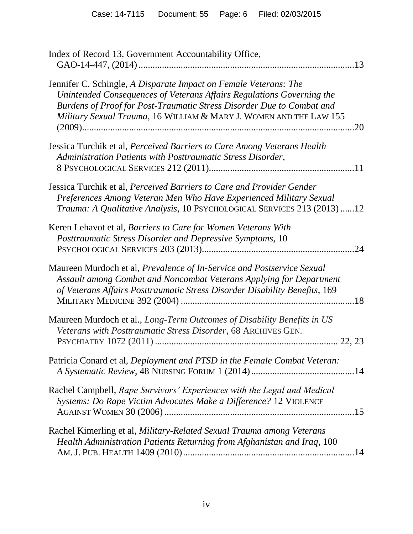| Index of Record 13, Government Accountability Office,                                                                                                                                                                                                                                    |
|------------------------------------------------------------------------------------------------------------------------------------------------------------------------------------------------------------------------------------------------------------------------------------------|
| Jennifer C. Schingle, A Disparate Impact on Female Veterans: The<br>Unintended Consequences of Veterans Affairs Regulations Governing the<br>Burdens of Proof for Post-Traumatic Stress Disorder Due to Combat and<br>Military Sexual Trauma, 16 WILLIAM & MARY J. WOMEN AND THE LAW 155 |
| Jessica Turchik et al, Perceived Barriers to Care Among Veterans Health<br>Administration Patients with Posttraumatic Stress Disorder,                                                                                                                                                   |
| Jessica Turchik et al, Perceived Barriers to Care and Provider Gender<br>Preferences Among Veteran Men Who Have Experienced Military Sexual<br>Trauma: A Qualitative Analysis, 10 PSYCHOLOGICAL SERVICES 213 (2013) 12                                                                   |
| Keren Lehavot et al, Barriers to Care for Women Veterans With<br>Posttraumatic Stress Disorder and Depressive Symptoms, 10<br>.24                                                                                                                                                        |
| Maureen Murdoch et al, Prevalence of In-Service and Postservice Sexual<br>Assault among Combat and Noncombat Veterans Applying for Department<br>of Veterans Affairs Posttraumatic Stress Disorder Disability Benefits, 169                                                              |
| Maureen Murdoch et al., Long-Term Outcomes of Disability Benefits in US<br>Veterans with Posttraumatic Stress Disorder, 68 ARCHIVES GEN.                                                                                                                                                 |
| Patricia Conard et al, Deployment and PTSD in the Female Combat Veteran:                                                                                                                                                                                                                 |
| Rachel Campbell, Rape Survivors' Experiences with the Legal and Medical<br>Systems: Do Rape Victim Advocates Make a Difference? 12 VIOLENCE                                                                                                                                              |
| Rachel Kimerling et al, Military-Related Sexual Trauma among Veterans<br>Health Administration Patients Returning from Afghanistan and Iraq, 100                                                                                                                                         |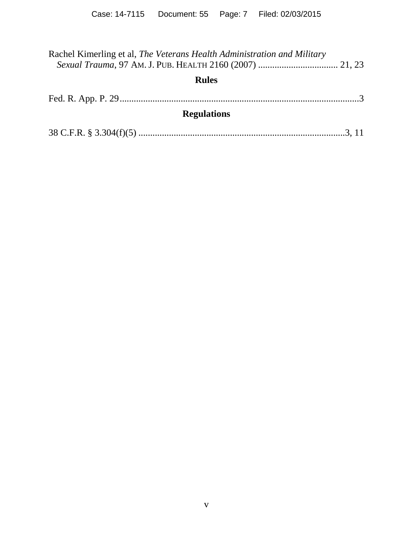| Rachel Kimerling et al, The Veterans Health Administration and Military |  |
|-------------------------------------------------------------------------|--|
| <b>Rules</b>                                                            |  |
|                                                                         |  |
| <b>Regulations</b>                                                      |  |
|                                                                         |  |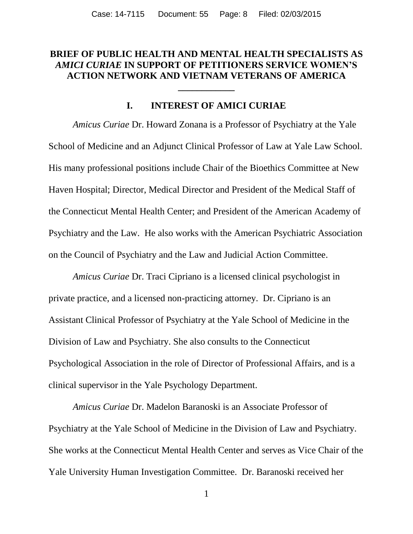### **BRIEF OF PUBLIC HEALTH AND MENTAL HEALTH SPECIALISTS AS**  *AMICI CURIAE* **IN SUPPORT OF PETITIONERS SERVICE WOMEN'S ACTION NETWORK AND VIETNAM VETERANS OF AMERICA**

**\_\_\_\_\_\_\_\_\_\_\_\_**

### **I. INTEREST OF AMICI CURIAE**

*Amicus Curiae* Dr. Howard Zonana is a Professor of Psychiatry at the Yale School of Medicine and an Adjunct Clinical Professor of Law at Yale Law School. His many professional positions include Chair of the Bioethics Committee at New Haven Hospital; Director, Medical Director and President of the Medical Staff of the Connecticut Mental Health Center; and President of the American Academy of Psychiatry and the Law. He also works with the American Psychiatric Association on the Council of Psychiatry and the Law and Judicial Action Committee.

*Amicus Curiae* Dr. Traci Cipriano is a licensed clinical psychologist in private practice, and a licensed non-practicing attorney. Dr. Cipriano is an Assistant Clinical Professor of Psychiatry at the Yale School of Medicine in the Division of Law and Psychiatry. She also consults to the Connecticut Psychological Association in the role of Director of Professional Affairs, and is a clinical supervisor in the Yale Psychology Department.

*Amicus Curiae* Dr. Madelon Baranoski is an Associate Professor of Psychiatry at the Yale School of Medicine in the Division of Law and Psychiatry. She works at the Connecticut Mental Health Center and serves as Vice Chair of the Yale University Human Investigation Committee. Dr. Baranoski received her

1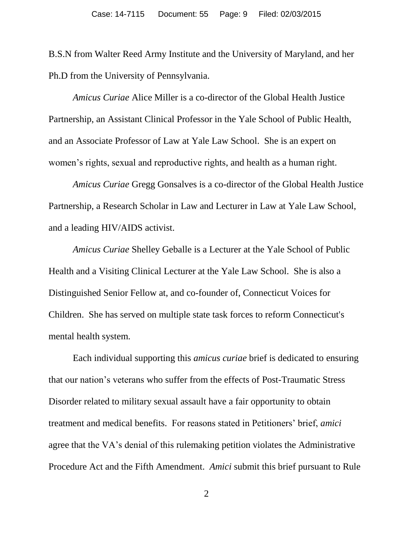B.S.N from Walter Reed Army Institute and the University of Maryland, and her Ph.D from the University of Pennsylvania.

*Amicus Curiae* Alice Miller is a co-director of the Global Health Justice Partnership, an Assistant Clinical Professor in the Yale School of Public Health, and an Associate Professor of Law at Yale Law School. She is an expert on women's rights, sexual and reproductive rights, and health as a human right.

*Amicus Curiae* Gregg Gonsalves is a co-director of the Global Health Justice Partnership, a Research Scholar in Law and Lecturer in Law at Yale Law School, and a leading HIV/AIDS activist.

*Amicus Curiae* Shelley Geballe is a Lecturer at the Yale School of Public Health and a Visiting Clinical Lecturer at the Yale Law School. She is also a Distinguished Senior Fellow at, and co-founder of, Connecticut Voices for Children. She has served on multiple state task forces to reform Connecticut's mental health system.

Each individual supporting this *amicus curiae* brief is dedicated to ensuring that our nation's veterans who suffer from the effects of Post-Traumatic Stress Disorder related to military sexual assault have a fair opportunity to obtain treatment and medical benefits. For reasons stated in Petitioners' brief, *amici* agree that the VA's denial of this rulemaking petition violates the Administrative Procedure Act and the Fifth Amendment. *Amici* submit this brief pursuant to Rule

2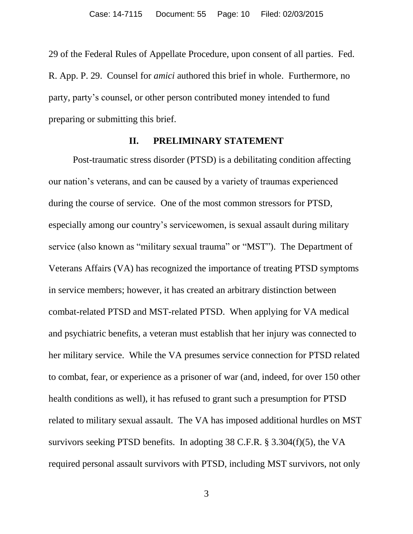29 of the Federal Rules of Appellate Procedure, upon consent of all parties. Fed. R. App. P. 29. Counsel for *amici* authored this brief in whole. Furthermore, no party, party's counsel, or other person contributed money intended to fund preparing or submitting this brief.

#### **II. PRELIMINARY STATEMENT**

Post-traumatic stress disorder (PTSD) is a debilitating condition affecting our nation's veterans, and can be caused by a variety of traumas experienced during the course of service. One of the most common stressors for PTSD, especially among our country's servicewomen, is sexual assault during military service (also known as "military sexual trauma" or "MST"). The Department of Veterans Affairs (VA) has recognized the importance of treating PTSD symptoms in service members; however, it has created an arbitrary distinction between combat-related PTSD and MST-related PTSD. When applying for VA medical and psychiatric benefits, a veteran must establish that her injury was connected to her military service. While the VA presumes service connection for PTSD related to combat, fear, or experience as a prisoner of war (and, indeed, for over 150 other health conditions as well), it has refused to grant such a presumption for PTSD related to military sexual assault. The VA has imposed additional hurdles on MST survivors seeking PTSD benefits. In adopting 38 C.F.R. § 3.304(f)(5), the VA required personal assault survivors with PTSD, including MST survivors, not only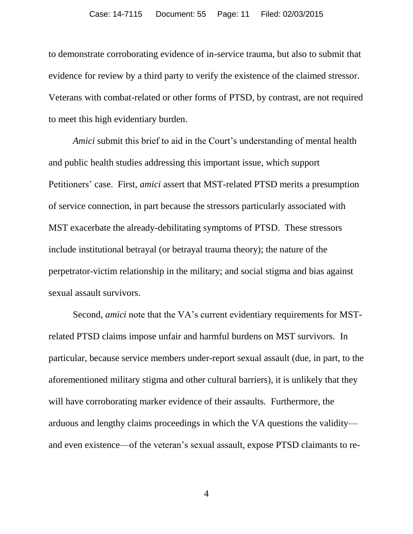to demonstrate corroborating evidence of in-service trauma, but also to submit that evidence for review by a third party to verify the existence of the claimed stressor. Veterans with combat-related or other forms of PTSD, by contrast, are not required to meet this high evidentiary burden.

*Amici* submit this brief to aid in the Court's understanding of mental health and public health studies addressing this important issue, which support Petitioners' case. First, *amici* assert that MST-related PTSD merits a presumption of service connection, in part because the stressors particularly associated with MST exacerbate the already-debilitating symptoms of PTSD. These stressors include institutional betrayal (or betrayal trauma theory); the nature of the perpetrator-victim relationship in the military; and social stigma and bias against sexual assault survivors.

Second, *amici* note that the VA's current evidentiary requirements for MSTrelated PTSD claims impose unfair and harmful burdens on MST survivors. In particular, because service members under-report sexual assault (due, in part, to the aforementioned military stigma and other cultural barriers), it is unlikely that they will have corroborating marker evidence of their assaults. Furthermore, the arduous and lengthy claims proceedings in which the VA questions the validity and even existence—of the veteran's sexual assault, expose PTSD claimants to re-

4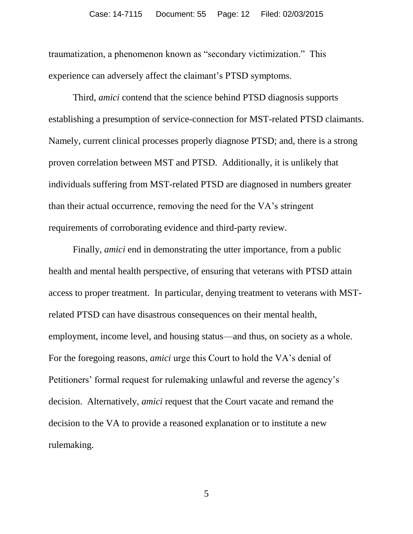traumatization, a phenomenon known as "secondary victimization." This experience can adversely affect the claimant's PTSD symptoms.

Third, *amici* contend that the science behind PTSD diagnosis supports establishing a presumption of service-connection for MST-related PTSD claimants. Namely, current clinical processes properly diagnose PTSD; and, there is a strong proven correlation between MST and PTSD. Additionally, it is unlikely that individuals suffering from MST-related PTSD are diagnosed in numbers greater than their actual occurrence, removing the need for the VA's stringent requirements of corroborating evidence and third-party review.

Finally, *amici* end in demonstrating the utter importance, from a public health and mental health perspective, of ensuring that veterans with PTSD attain access to proper treatment. In particular, denying treatment to veterans with MSTrelated PTSD can have disastrous consequences on their mental health, employment, income level, and housing status—and thus, on society as a whole. For the foregoing reasons, *amici* urge this Court to hold the VA's denial of Petitioners' formal request for rulemaking unlawful and reverse the agency's decision. Alternatively, *amici* request that the Court vacate and remand the decision to the VA to provide a reasoned explanation or to institute a new rulemaking.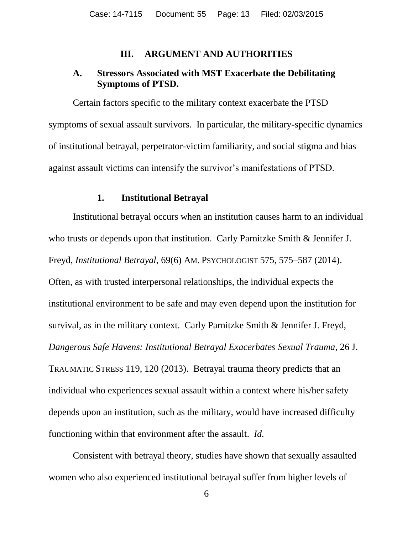#### **III. ARGUMENT AND AUTHORITIES**

#### **A. Stressors Associated with MST Exacerbate the Debilitating Symptoms of PTSD.**

Certain factors specific to the military context exacerbate the PTSD symptoms of sexual assault survivors. In particular, the military-specific dynamics of institutional betrayal, perpetrator-victim familiarity, and social stigma and bias against assault victims can intensify the survivor's manifestations of PTSD.

#### **1. Institutional Betrayal**

Institutional betrayal occurs when an institution causes harm to an individual who trusts or depends upon that institution. Carly Parnitzke Smith & Jennifer J. Freyd, *Institutional Betrayal*, 69(6) AM. PSYCHOLOGIST 575, 575–587 (2014). Often, as with trusted interpersonal relationships, the individual expects the institutional environment to be safe and may even depend upon the institution for survival, as in the military context. Carly Parnitzke Smith & Jennifer J. Freyd, *Dangerous Safe Havens: Institutional Betrayal Exacerbates Sexual Trauma*, 26 J. TRAUMATIC STRESS 119, 120 (2013). Betrayal trauma theory predicts that an individual who experiences sexual assault within a context where his/her safety depends upon an institution, such as the military, would have increased difficulty functioning within that environment after the assault. *Id.*

Consistent with betrayal theory, studies have shown that sexually assaulted women who also experienced institutional betrayal suffer from higher levels of

6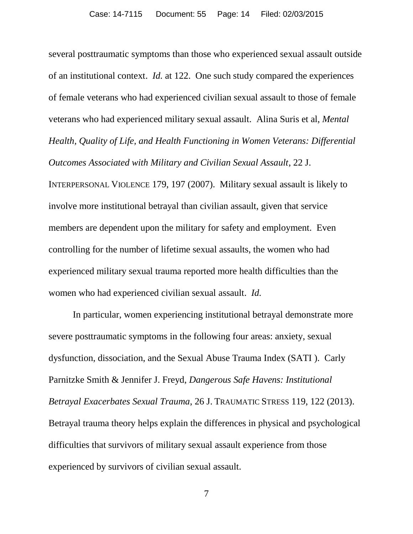several posttraumatic symptoms than those who experienced sexual assault outside of an institutional context. *Id.* at 122. One such study compared the experiences of female veterans who had experienced civilian sexual assault to those of female veterans who had experienced military sexual assault. Alina Suris et al, *Mental Health, Quality of Life, and Health Functioning in Women Veterans: Differential Outcomes Associated with Military and Civilian Sexual Assault*, 22 J. INTERPERSONAL VIOLENCE 179, 197 (2007). Military sexual assault is likely to involve more institutional betrayal than civilian assault, given that service members are dependent upon the military for safety and employment. Even controlling for the number of lifetime sexual assaults, the women who had experienced military sexual trauma reported more health difficulties than the women who had experienced civilian sexual assault. *Id.*

In particular, women experiencing institutional betrayal demonstrate more severe posttraumatic symptoms in the following four areas: anxiety, sexual dysfunction, dissociation, and the Sexual Abuse Trauma Index (SATI ). Carly Parnitzke Smith & Jennifer J. Freyd, *Dangerous Safe Havens: Institutional Betrayal Exacerbates Sexual Trauma*, 26 J. TRAUMATIC STRESS 119, 122 (2013). Betrayal trauma theory helps explain the differences in physical and psychological difficulties that survivors of military sexual assault experience from those experienced by survivors of civilian sexual assault.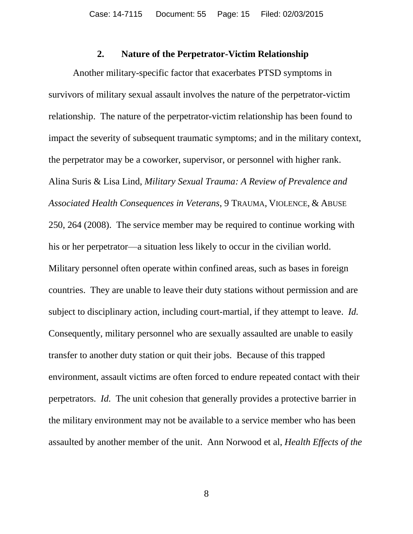#### **2. Nature of the Perpetrator-Victim Relationship**

Another military-specific factor that exacerbates PTSD symptoms in survivors of military sexual assault involves the nature of the perpetrator-victim relationship. The nature of the perpetrator-victim relationship has been found to impact the severity of subsequent traumatic symptoms; and in the military context, the perpetrator may be a coworker, supervisor, or personnel with higher rank. Alina Suris & Lisa Lind, *Military Sexual Trauma: A Review of Prevalence and Associated Health Consequences in Veterans*, 9 TRAUMA, VIOLENCE, & ABUSE 250, 264 (2008). The service member may be required to continue working with his or her perpetrator—a situation less likely to occur in the civilian world. Military personnel often operate within confined areas, such as bases in foreign countries. They are unable to leave their duty stations without permission and are subject to disciplinary action, including court-martial, if they attempt to leave. *Id.* Consequently, military personnel who are sexually assaulted are unable to easily transfer to another duty station or quit their jobs. Because of this trapped environment, assault victims are often forced to endure repeated contact with their perpetrators. *Id.* The unit cohesion that generally provides a protective barrier in the military environment may not be available to a service member who has been assaulted by another member of the unit. Ann Norwood et al, *Health Effects of the*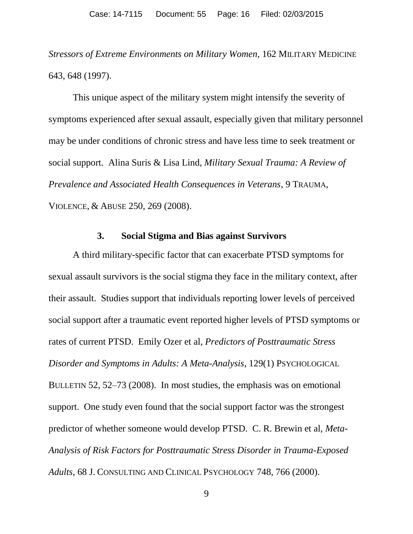*Stressors of Extreme Environments on Military Women*, 162 MILITARY MEDICINE 643, 648 (1997).

This unique aspect of the military system might intensify the severity of symptoms experienced after sexual assault, especially given that military personnel may be under conditions of chronic stress and have less time to seek treatment or social support. Alina Suris & Lisa Lind, *Military Sexual Trauma: A Review of Prevalence and Associated Health Consequences in Veterans*, 9 TRAUMA, VIOLENCE, & ABUSE 250, 269 (2008).

#### **3. Social Stigma and Bias against Survivors**

A third military-specific factor that can exacerbate PTSD symptoms for sexual assault survivors is the social stigma they face in the military context, after their assault. Studies support that individuals reporting lower levels of perceived social support after a traumatic event reported higher levels of PTSD symptoms or rates of current PTSD. Emily Ozer et al, *Predictors of Posttraumatic Stress Disorder and Symptoms in Adults: A Meta-Analysis*, 129(1) PSYCHOLOGICAL BULLETIN 52, 52–73 (2008). In most studies, the emphasis was on emotional support. One study even found that the social support factor was the strongest predictor of whether someone would develop PTSD. C. R. Brewin et al, *Meta-Analysis of Risk Factors for Posttraumatic Stress Disorder in Trauma-Exposed Adults*, 68 J. CONSULTING AND CLINICAL PSYCHOLOGY 748, 766 (2000).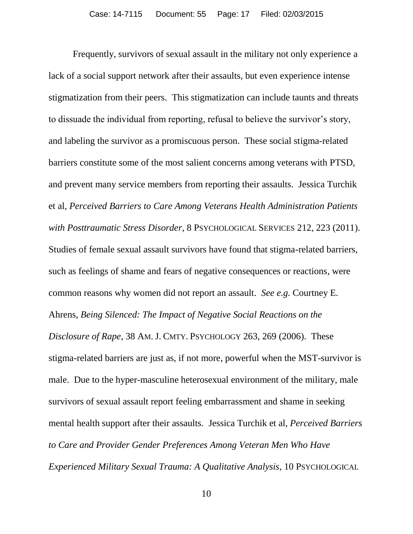Frequently, survivors of sexual assault in the military not only experience a lack of a social support network after their assaults, but even experience intense stigmatization from their peers. This stigmatization can include taunts and threats to dissuade the individual from reporting, refusal to believe the survivor's story, and labeling the survivor as a promiscuous person. These social stigma-related barriers constitute some of the most salient concerns among veterans with PTSD, and prevent many service members from reporting their assaults. Jessica Turchik et al, *Perceived Barriers to Care Among Veterans Health Administration Patients with Posttraumatic Stress Disorder*, 8 PSYCHOLOGICAL SERVICES 212, 223 (2011). Studies of female sexual assault survivors have found that stigma-related barriers, such as feelings of shame and fears of negative consequences or reactions, were common reasons why women did not report an assault. *See e.g.* Courtney E. Ahrens, *Being Silenced: The Impact of Negative Social Reactions on the Disclosure of Rape*, 38 AM.J. CMTY. PSYCHOLOGY 263, 269 (2006). These stigma-related barriers are just as, if not more, powerful when the MST-survivor is male. Due to the hyper-masculine heterosexual environment of the military, male survivors of sexual assault report feeling embarrassment and shame in seeking mental health support after their assaults. Jessica Turchik et al, *Perceived Barriers to Care and Provider Gender Preferences Among Veteran Men Who Have Experienced Military Sexual Trauma: A Qualitative Analysis*, 10 PSYCHOLOGICAL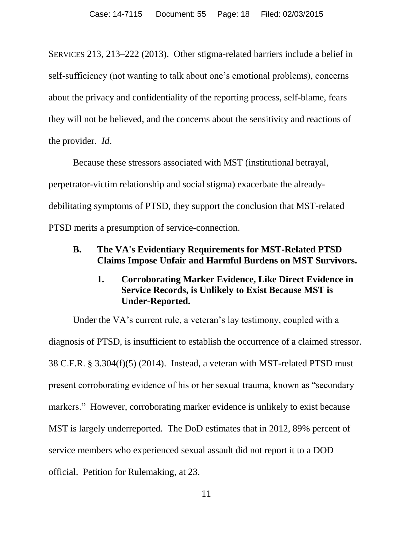SERVICES 213, 213–222 (2013). Other stigma-related barriers include a belief in self-sufficiency (not wanting to talk about one's emotional problems), concerns about the privacy and confidentiality of the reporting process, self-blame, fears they will not be believed, and the concerns about the sensitivity and reactions of the provider. *Id*.

Because these stressors associated with MST (institutional betrayal, perpetrator-victim relationship and social stigma) exacerbate the alreadydebilitating symptoms of PTSD, they support the conclusion that MST-related PTSD merits a presumption of service-connection.

# **B. The VA's Evidentiary Requirements for MST-Related PTSD Claims Impose Unfair and Harmful Burdens on MST Survivors.**

# **1. Corroborating Marker Evidence, Like Direct Evidence in Service Records, is Unlikely to Exist Because MST is Under-Reported.**

Under the VA's current rule, a veteran's lay testimony, coupled with a diagnosis of PTSD, is insufficient to establish the occurrence of a claimed stressor. 38 C.F.R. § 3.304(f)(5) (2014). Instead, a veteran with MST-related PTSD must present corroborating evidence of his or her sexual trauma, known as "secondary markers." However, corroborating marker evidence is unlikely to exist because MST is largely underreported. The DoD estimates that in 2012, 89% percent of service members who experienced sexual assault did not report it to a DOD official. Petition for Rulemaking, at 23.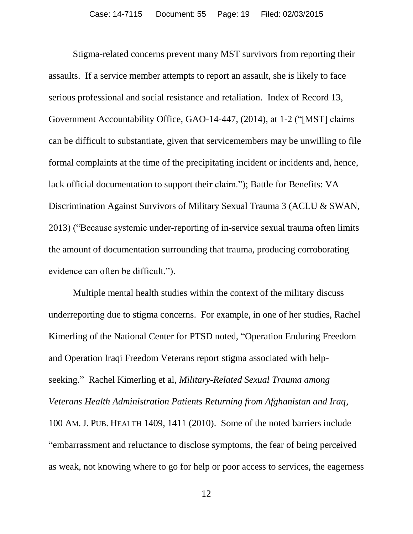Stigma-related concerns prevent many MST survivors from reporting their assaults. If a service member attempts to report an assault, she is likely to face serious professional and social resistance and retaliation. Index of Record 13, Government Accountability Office, GAO-14-447, (2014), at 1-2 ("[MST] claims can be difficult to substantiate, given that servicemembers may be unwilling to file formal complaints at the time of the precipitating incident or incidents and, hence, lack official documentation to support their claim."); Battle for Benefits: VA Discrimination Against Survivors of Military Sexual Trauma 3 (ACLU & SWAN, 2013) ("Because systemic under-reporting of in-service sexual trauma often limits the amount of documentation surrounding that trauma, producing corroborating evidence can often be difficult.").

Multiple mental health studies within the context of the military discuss underreporting due to stigma concerns. For example, in one of her studies, Rachel Kimerling of the National Center for PTSD noted, "Operation Enduring Freedom and Operation Iraqi Freedom Veterans report stigma associated with helpseeking." Rachel Kimerling et al, *Military-Related Sexual Trauma among Veterans Health Administration Patients Returning from Afghanistan and Iraq*, 100 AM.J. PUB. HEALTH 1409, 1411 (2010). Some of the noted barriers include "embarrassment and reluctance to disclose symptoms, the fear of being perceived as weak, not knowing where to go for help or poor access to services, the eagerness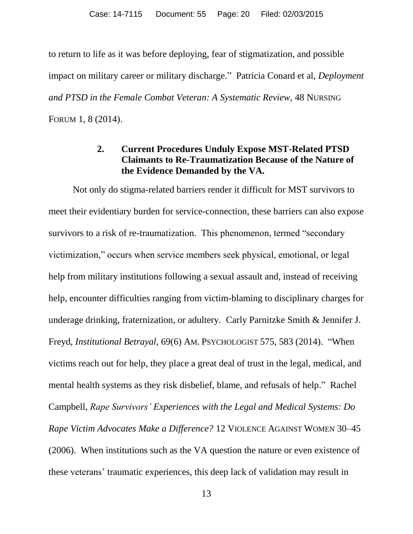to return to life as it was before deploying, fear of stigmatization, and possible impact on military career or military discharge." Patricia Conard et al, *Deployment and PTSD in the Female Combat Veteran: A Systematic Review*, 48 NURSING FORUM 1, 8 (2014).

# **2. Current Procedures Unduly Expose MST-Related PTSD Claimants to Re-Traumatization Because of the Nature of the Evidence Demanded by the VA.**

Not only do stigma-related barriers render it difficult for MST survivors to meet their evidentiary burden for service-connection, these barriers can also expose survivors to a risk of re-traumatization. This phenomenon, termed "secondary victimization," occurs when service members seek physical, emotional, or legal help from military institutions following a sexual assault and, instead of receiving help, encounter difficulties ranging from victim-blaming to disciplinary charges for underage drinking, fraternization, or adultery. Carly Parnitzke Smith & Jennifer J. Freyd, *Institutional Betrayal*, 69(6) AM. PSYCHOLOGIST 575, 583 (2014). "When victims reach out for help, they place a great deal of trust in the legal, medical, and mental health systems as they risk disbelief, blame, and refusals of help." Rachel Campbell, *Rape Survivors' Experiences with the Legal and Medical Systems: Do Rape Victim Advocates Make a Difference?* 12 VIOLENCE AGAINST WOMEN 30–45 (2006). When institutions such as the VA question the nature or even existence of these veterans' traumatic experiences, this deep lack of validation may result in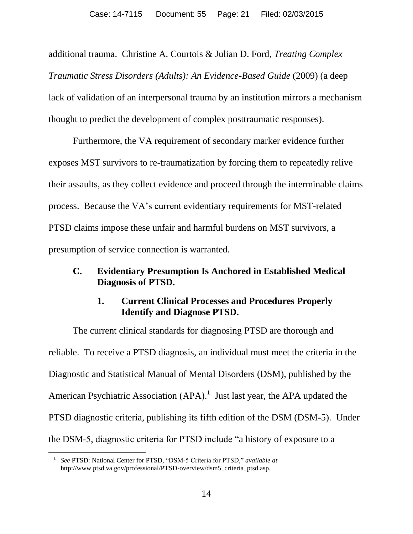additional trauma. Christine A. Courtois & Julian D. Ford, *Treating Complex Traumatic Stress Disorders (Adults): An Evidence-Based Guide* (2009) (a deep lack of validation of an interpersonal trauma by an institution mirrors a mechanism thought to predict the development of complex posttraumatic responses).

Furthermore, the VA requirement of secondary marker evidence further exposes MST survivors to re-traumatization by forcing them to repeatedly relive their assaults, as they collect evidence and proceed through the interminable claims process. Because the VA's current evidentiary requirements for MST-related PTSD claims impose these unfair and harmful burdens on MST survivors, a presumption of service connection is warranted.

### **C. Evidentiary Presumption Is Anchored in Established Medical Diagnosis of PTSD.**

# **1. Current Clinical Processes and Procedures Properly Identify and Diagnose PTSD.**

The current clinical standards for diagnosing PTSD are thorough and reliable. To receive a PTSD diagnosis, an individual must meet the criteria in the Diagnostic and Statistical Manual of Mental Disorders (DSM), published by the American Psychiatric Association  $(APA)$ .<sup>1</sup> Just last year, the APA updated the PTSD diagnostic criteria, publishing its fifth edition of the DSM (DSM-5). Under the DSM-5, diagnostic criteria for PTSD include "a history of exposure to a

 $\overline{a}$ 

<sup>1</sup> *See* PTSD: National Center for PTSD, "DSM-5 Criteria for PTSD," *available at* http://www.ptsd.va.gov/professional/PTSD-overview/dsm5\_criteria\_ptsd.asp.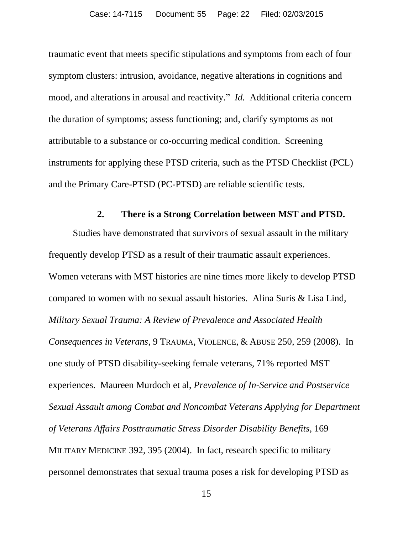traumatic event that meets specific stipulations and symptoms from each of four symptom clusters: intrusion, avoidance, negative alterations in cognitions and mood, and alterations in arousal and reactivity." *Id.* Additional criteria concern the duration of symptoms; assess functioning; and, clarify symptoms as not attributable to a substance or co-occurring medical condition. Screening instruments for applying these PTSD criteria, such as the PTSD Checklist (PCL) and the Primary Care-PTSD (PC-PTSD) are reliable scientific tests.

#### **2. There is a Strong Correlation between MST and PTSD.**

Studies have demonstrated that survivors of sexual assault in the military frequently develop PTSD as a result of their traumatic assault experiences. Women veterans with MST histories are nine times more likely to develop PTSD compared to women with no sexual assault histories. Alina Suris & Lisa Lind, *Military Sexual Trauma: A Review of Prevalence and Associated Health Consequences in Veterans*, 9 TRAUMA, VIOLENCE, & ABUSE 250, 259 (2008). In one study of PTSD disability-seeking female veterans, 71% reported MST experiences. Maureen Murdoch et al, *Prevalence of In-Service and Postservice Sexual Assault among Combat and Noncombat Veterans Applying for Department of Veterans Affairs Posttraumatic Stress Disorder Disability Benefits*, 169 MILITARY MEDICINE 392, 395 (2004). In fact, research specific to military personnel demonstrates that sexual trauma poses a risk for developing PTSD as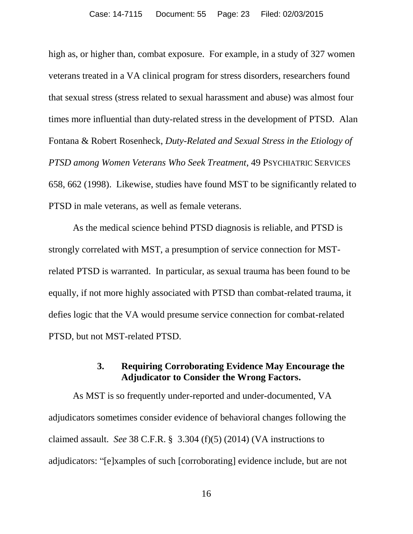high as, or higher than, combat exposure. For example, in a study of 327 women veterans treated in a VA clinical program for stress disorders, researchers found that sexual stress (stress related to sexual harassment and abuse) was almost four times more influential than duty-related stress in the development of PTSD. Alan Fontana & Robert Rosenheck, *Duty-Related and Sexual Stress in the Etiology of PTSD among Women Veterans Who Seek Treatment*, 49 PSYCHIATRIC SERVICES 658, 662 (1998). Likewise, studies have found MST to be significantly related to PTSD in male veterans, as well as female veterans.

As the medical science behind PTSD diagnosis is reliable, and PTSD is strongly correlated with MST, a presumption of service connection for MSTrelated PTSD is warranted. In particular, as sexual trauma has been found to be equally, if not more highly associated with PTSD than combat-related trauma, it defies logic that the VA would presume service connection for combat-related PTSD, but not MST-related PTSD.

## **3. Requiring Corroborating Evidence May Encourage the Adjudicator to Consider the Wrong Factors.**

As MST is so frequently under-reported and under-documented, VA adjudicators sometimes consider evidence of behavioral changes following the claimed assault. *See* 38 C.F.R. § 3.304 (f)(5) (2014) (VA instructions to adjudicators: "[e]xamples of such [corroborating] evidence include, but are not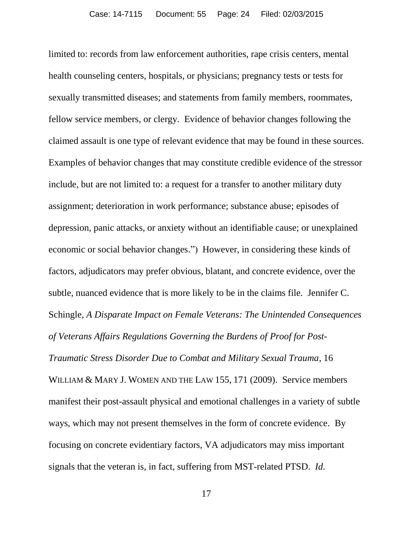limited to: records from law enforcement authorities, rape crisis centers, mental health counseling centers, hospitals, or physicians; pregnancy tests or tests for sexually transmitted diseases; and statements from family members, roommates, fellow service members, or clergy. Evidence of behavior changes following the claimed assault is one type of relevant evidence that may be found in these sources. Examples of behavior changes that may constitute credible evidence of the stressor include, but are not limited to: a request for a transfer to another military duty assignment; deterioration in work performance; substance abuse; episodes of depression, panic attacks, or anxiety without an identifiable cause; or unexplained economic or social behavior changes.") However, in considering these kinds of factors, adjudicators may prefer obvious, blatant, and concrete evidence, over the subtle, nuanced evidence that is more likely to be in the claims file. Jennifer C. Schingle, *A Disparate Impact on Female Veterans: The Unintended Consequences of Veterans Affairs Regulations Governing the Burdens of Proof for Post-Traumatic Stress Disorder Due to Combat and Military Sexual Trauma*, 16 WILLIAM & MARY J. WOMEN AND THE LAW 155, 171 (2009). Service members manifest their post-assault physical and emotional challenges in a variety of subtle ways, which may not present themselves in the form of concrete evidence. By focusing on concrete evidentiary factors, VA adjudicators may miss important signals that the veteran is, in fact, suffering from MST-related PTSD. *Id.*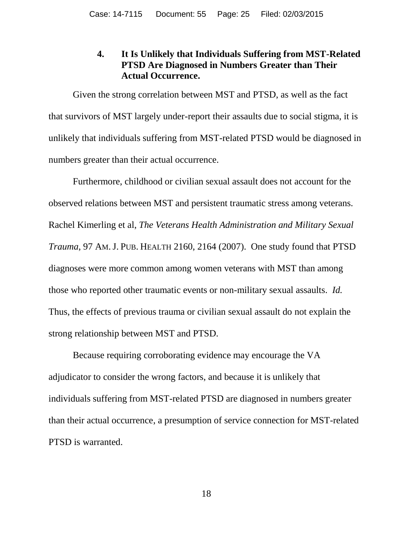# **4. It Is Unlikely that Individuals Suffering from MST-Related PTSD Are Diagnosed in Numbers Greater than Their Actual Occurrence.**

Given the strong correlation between MST and PTSD, as well as the fact that survivors of MST largely under-report their assaults due to social stigma, it is unlikely that individuals suffering from MST-related PTSD would be diagnosed in numbers greater than their actual occurrence.

Furthermore, childhood or civilian sexual assault does not account for the observed relations between MST and persistent traumatic stress among veterans. Rachel Kimerling et al, *The Veterans Health Administration and Military Sexual Trauma*, 97 AM.J. PUB. HEALTH 2160, 2164 (2007). One study found that PTSD diagnoses were more common among women veterans with MST than among those who reported other traumatic events or non-military sexual assaults. *Id.* Thus, the effects of previous trauma or civilian sexual assault do not explain the strong relationship between MST and PTSD.

Because requiring corroborating evidence may encourage the VA adjudicator to consider the wrong factors, and because it is unlikely that individuals suffering from MST-related PTSD are diagnosed in numbers greater than their actual occurrence, a presumption of service connection for MST-related PTSD is warranted.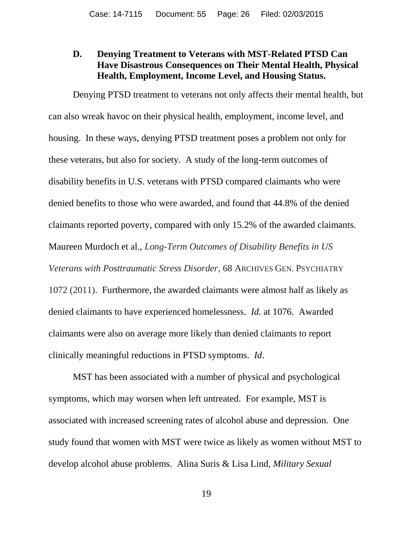## **D. Denying Treatment to Veterans with MST-Related PTSD Can Have Disastrous Consequences on Their Mental Health, Physical Health, Employment, Income Level, and Housing Status.**

Denying PTSD treatment to veterans not only affects their mental health, but can also wreak havoc on their physical health, employment, income level, and housing. In these ways, denying PTSD treatment poses a problem not only for these veterans, but also for society. A study of the long-term outcomes of disability benefits in U.S. veterans with PTSD compared claimants who were denied benefits to those who were awarded, and found that 44.8% of the denied claimants reported poverty, compared with only 15.2% of the awarded claimants. Maureen Murdoch et al., *Long-Term Outcomes of Disability Benefits in US Veterans with Posttraumatic Stress Disorder*, 68 ARCHIVES GEN. PSYCHIATRY 1072 (2011). Furthermore, the awarded claimants were almost half as likely as denied claimants to have experienced homelessness. *Id.* at 1076. Awarded claimants were also on average more likely than denied claimants to report clinically meaningful reductions in PTSD symptoms. *Id*.

MST has been associated with a number of physical and psychological symptoms, which may worsen when left untreated. For example, MST is associated with increased screening rates of alcohol abuse and depression. One study found that women with MST were twice as likely as women without MST to develop alcohol abuse problems. Alina Suris & Lisa Lind, *Military Sexual*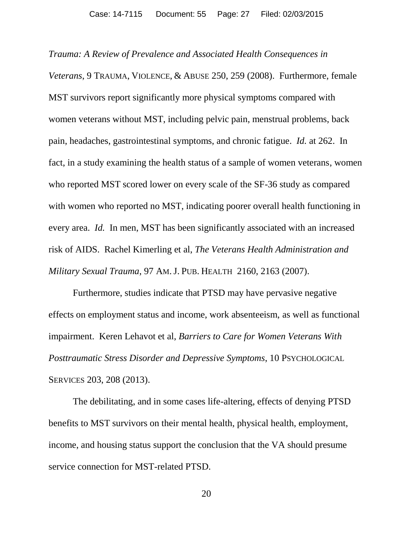*Trauma: A Review of Prevalence and Associated Health Consequences in Veterans*, 9 TRAUMA, VIOLENCE, & ABUSE 250, 259 (2008). Furthermore, female MST survivors report significantly more physical symptoms compared with women veterans without MST, including pelvic pain, menstrual problems, back pain, headaches, gastrointestinal symptoms, and chronic fatigue. *Id.* at 262. In fact, in a study examining the health status of a sample of women veterans, women who reported MST scored lower on every scale of the SF-36 study as compared with women who reported no MST, indicating poorer overall health functioning in every area. *Id.* In men, MST has been significantly associated with an increased risk of AIDS. Rachel Kimerling et al, *The Veterans Health Administration and Military Sexual Trauma*, 97 AM.J. PUB. HEALTH 2160, 2163 (2007).

Furthermore, studies indicate that PTSD may have pervasive negative effects on employment status and income, work absenteeism, as well as functional impairment. Keren Lehavot et al, *Barriers to Care for Women Veterans With Posttraumatic Stress Disorder and Depressive Symptoms*, 10 PSYCHOLOGICAL SERVICES 203, 208 (2013).

The debilitating, and in some cases life-altering, effects of denying PTSD benefits to MST survivors on their mental health, physical health, employment, income, and housing status support the conclusion that the VA should presume service connection for MST-related PTSD.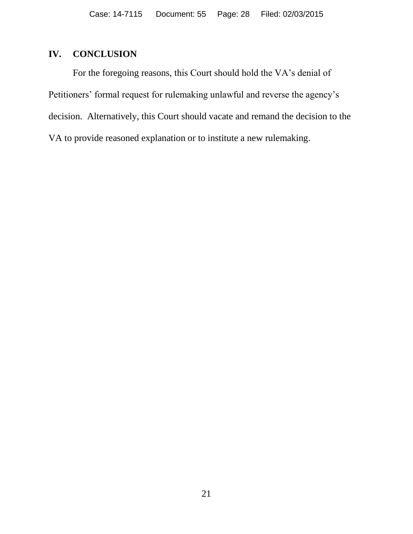# **IV. CONCLUSION**

For the foregoing reasons, this Court should hold the VA's denial of Petitioners' formal request for rulemaking unlawful and reverse the agency's decision. Alternatively, this Court should vacate and remand the decision to the VA to provide reasoned explanation or to institute a new rulemaking.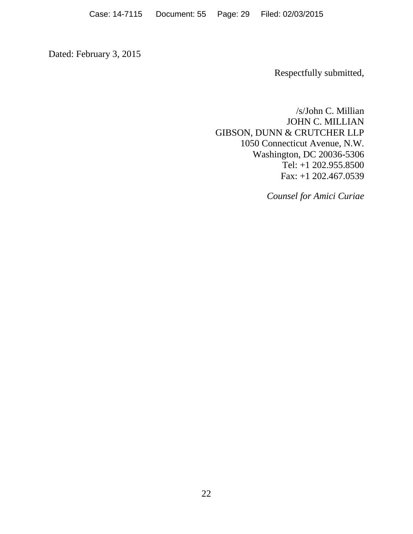Dated: February 3, 2015

Respectfully submitted,

/s/John C. Millian JOHN C. MILLIAN GIBSON, DUNN & CRUTCHER LLP 1050 Connecticut Avenue, N.W. Washington, DC 20036-5306 Tel: +1 202.955.8500 Fax: +1 202.467.0539

*Counsel for Amici Curiae*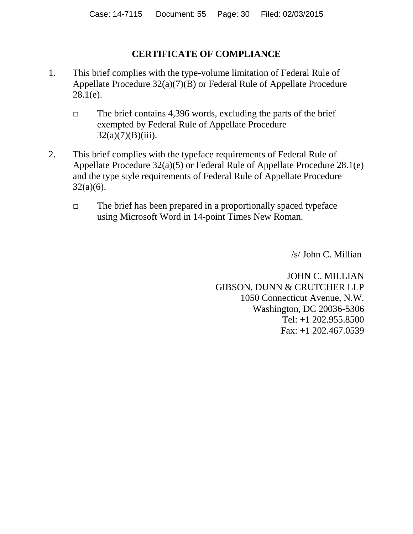# **CERTIFICATE OF COMPLIANCE**

- 1. This brief complies with the type-volume limitation of Federal Rule of Appellate Procedure 32(a)(7)(B) or Federal Rule of Appellate Procedure  $28.1(e)$ .
	- $\Box$  The brief contains 4,396 words, excluding the parts of the brief exempted by Federal Rule of Appellate Procedure  $32(a)(7)(B)(iii)$ .
- 2. This brief complies with the typeface requirements of Federal Rule of Appellate Procedure 32(a)(5) or Federal Rule of Appellate Procedure 28.1(e) and the type style requirements of Federal Rule of Appellate Procedure 32(a)(6).
	- □ The brief has been prepared in a proportionally spaced typeface using Microsoft Word in 14-point Times New Roman.

/s/ John C. Millian

JOHN C. MILLIAN GIBSON, DUNN & CRUTCHER LLP 1050 Connecticut Avenue, N.W. Washington, DC 20036-5306 Tel: +1 202.955.8500 Fax: +1 202.467.0539